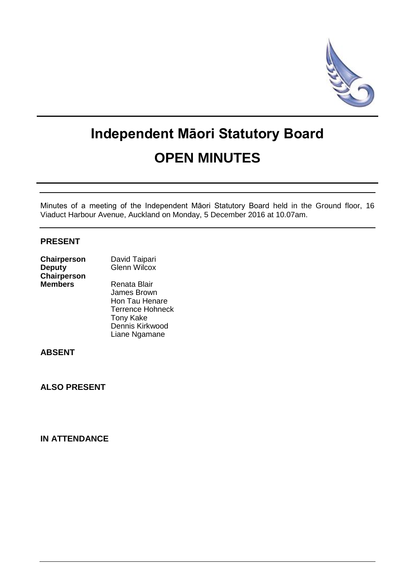

# **Independent Māori Statutory Board OPEN MINUTES**

Minutes of a meeting of the Independent Māori Statutory Board held in the Ground floor, 16 Viaduct Harbour Avenue, Auckland on Monday, 5 December 2016 at 10.07am.

## **PRESENT**

| <b>Chairperson</b> | David Taipari       |  |
|--------------------|---------------------|--|
| <b>Deputy</b>      | <b>Glenn Wilcox</b> |  |
| <b>Chairperson</b> |                     |  |
| <b>Members</b>     | Renata Blair        |  |

 James Brown Hon Tau Henare Terrence Hohneck Tony Kake Dennis Kirkwood Liane Ngamane

**ABSENT**

**ALSO PRESENT**

**IN ATTENDANCE**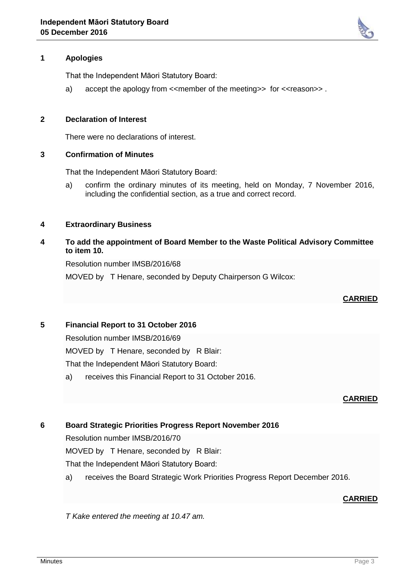

# **1 Apologies**

That the Independent Māori Statutory Board:

a) accept the apology from  $\leq$ member of the meeting>> for  $\leq$ reason>>.

#### **2 Declaration of Interest**

There were no declarations of interest.

#### **3 Confirmation of Minutes**

That the Independent Māori Statutory Board:

a) confirm the ordinary minutes of its meeting, held on Monday, 7 November 2016, including the confidential section, as a true and correct record.

## **4 Extraordinary Business**

## **4 To add the appointment of Board Member to the Waste Political Advisory Committee to item 10.**

Resolution number IMSB/2016/68

MOVED by T Henare, seconded by Deputy Chairperson G Wilcox:

## **CARRIED**

## **5 Financial Report to 31 October 2016**

Resolution number IMSB/2016/69

MOVED by T Henare, seconded by R Blair:

That the Independent Māori Statutory Board:

a) receives this Financial Report to 31 October 2016.

## **CARRIED**

## **6 Board Strategic Priorities Progress Report November 2016**

Resolution number IMSB/2016/70

MOVED by T Henare, seconded by R Blair:

That the Independent Māori Statutory Board:

a) receives the Board Strategic Work Priorities Progress Report December 2016.

# **CARRIED**

*T Kake entered the meeting at 10.47 am.*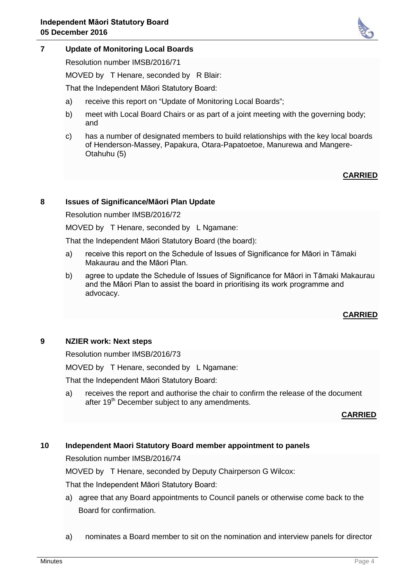

Resolution number IMSB/2016/71

MOVED by T Henare, seconded by R Blair:

That the Independent Māori Statutory Board:

- a) receive this report on "Update of Monitoring Local Boards";
- b) meet with Local Board Chairs or as part of a joint meeting with the governing body; and
- c) has a number of designated members to build relationships with the key local boards of Henderson-Massey, Papakura, Otara-Papatoetoe, Manurewa and Mangere-Otahuhu (5)

## **CARRIED**

## **8 Issues of Significance/Māori Plan Update**

Resolution number IMSB/2016/72

MOVED by T Henare, seconded by L Ngamane:

That the Independent Māori Statutory Board (the board):

- a) receive this report on the Schedule of Issues of Significance for Māori in Tāmaki Makaurau and the Māori Plan.
- b) agree to update the Schedule of Issues of Significance for Māori in Tāmaki Makaurau and the Māori Plan to assist the board in prioritising its work programme and advocacy.

# **CARRIED**

## **9 NZIER work: Next steps**

Resolution number IMSB/2016/73

MOVED by T Henare, seconded by L Ngamane:

That the Independent Māori Statutory Board:

a) receives the report and authorise the chair to confirm the release of the document after 19<sup>th</sup> December subject to any amendments.

**CARRIED**

# **10 Independent Maori Statutory Board member appointment to panels**

Resolution number IMSB/2016/74

MOVED by T Henare, seconded by Deputy Chairperson G Wilcox:

That the Independent Māori Statutory Board:

- a) agree that any Board appointments to Council panels or otherwise come back to the Board for confirmation.
- a) nominates a Board member to sit on the nomination and interview panels for director

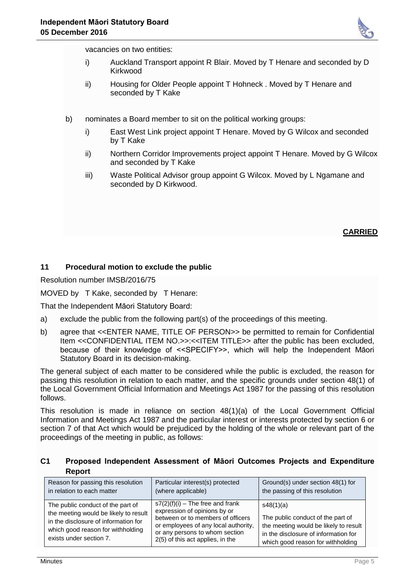

vacancies on two entities:

- i) Auckland Transport appoint R Blair. Moved by T Henare and seconded by D Kirkwood
- ii) Housing for Older People appoint T Hohneck . Moved by T Henare and seconded by T Kake
- b) nominates a Board member to sit on the political working groups:
	- i) East West Link project appoint T Henare. Moved by G Wilcox and seconded by T Kake
	- ii) Northern Corridor Improvements project appoint T Henare. Moved by G Wilcox and seconded by T Kake
	- iii) Waste Political Advisor group appoint G Wilcox. Moved by L Ngamane and seconded by D Kirkwood.

## **CARRIED**

## **11 Procedural motion to exclude the public**

Resolution number IMSB/2016/75

MOVED by T Kake, seconded by T Henare:

That the Independent Māori Statutory Board:

- a) exclude the public from the following part(s) of the proceedings of this meeting.
- b) agree that <<ENTER NAME, TITLE OF PERSON>> be permitted to remain for Confidential Item <<CONFIDENTIAL ITEM NO.>>:<<ITEM TITLE>> after the public has been excluded, because of their knowledge of <<SPECIFY>>, which will help the Independent Māori Statutory Board in its decision-making.

The general subject of each matter to be considered while the public is excluded, the reason for passing this resolution in relation to each matter, and the specific grounds under section 48(1) of the Local Government Official Information and Meetings Act 1987 for the passing of this resolution follows.

This resolution is made in reliance on section 48(1)(a) of the Local Government Official Information and Meetings Act 1987 and the particular interest or interests protected by section 6 or section 7 of that Act which would be prejudiced by the holding of the whole or relevant part of the proceedings of the meeting in public, as follows:

## **C1 Proposed Independent Assessment of Māori Outcomes Projects and Expenditure Report**

| Reason for passing this resolution                                                                                                                                                 | Particular interest(s) protected                                                                                                                                                                                      | Ground(s) under section 48(1) for                                                                                                                                    |
|------------------------------------------------------------------------------------------------------------------------------------------------------------------------------------|-----------------------------------------------------------------------------------------------------------------------------------------------------------------------------------------------------------------------|----------------------------------------------------------------------------------------------------------------------------------------------------------------------|
| in relation to each matter                                                                                                                                                         | (where applicable)                                                                                                                                                                                                    | the passing of this resolution                                                                                                                                       |
| The public conduct of the part of<br>the meeting would be likely to result<br>in the disclosure of information for<br>which good reason for withholding<br>exists under section 7. | $s7(2)(f)(i)$ – The free and frank<br>expression of opinions by or<br>between or to members of officers<br>or employees of any local authority,<br>or any persons to whom section<br>2(5) of this act applies, in the | s48(1)(a)<br>The public conduct of the part of<br>the meeting would be likely to result<br>in the disclosure of information for<br>which good reason for withholding |